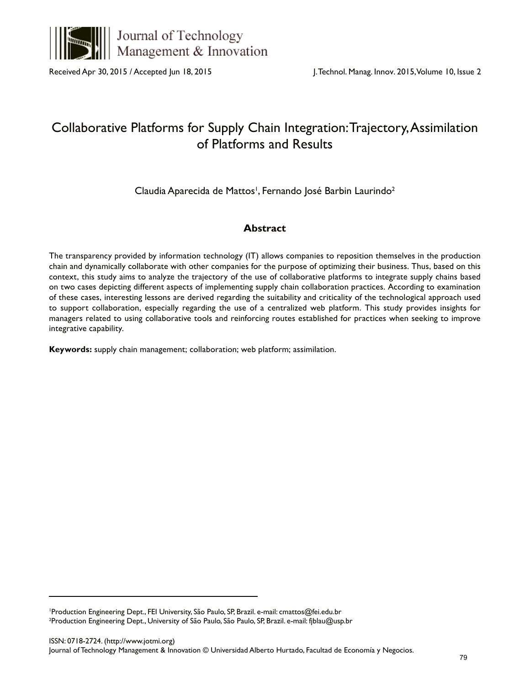

Journal of Technology Management & Innovation

Received Apr 30, 2015 / Accepted Jun 18, 2015

# Collaborative Platforms for Supply Chain Integration: Trajectory, Assimilation of Platforms and Results

Claudia Aparecida de Mattos', Fernando José Barbin Laurindo<sup>2</sup>

# **Abstract**

The transparency provided by information technology (IT) allows companies to reposition themselves in the production chain and dynamically collaborate with other companies for the purpose of optimizing their business. Thus, based on this context, this study aims to analyze the trajectory of the use of collaborative platforms to integrate supply chains based on two cases depicting different aspects of implementing supply chain collaboration practices. According to examination of these cases, interesting lessons are derived regarding the suitability and criticality of the technological approach used to support collaboration, especially regarding the use of a centralized web platform. This study provides insights for managers related to using collaborative tools and reinforcing routes established for practices when seeking to improve integrative capability.

**Keywords:** supply chain management; collaboration; web platform; assimilation.

<sup>1</sup> Production Engineering Dept., FEI University, São Paulo, SP, Brazil. e-mail: cmattos@fei.edu.br 2 Production Engineering Dept., University of São Paulo, São Paulo, SP, Brazil. e-mail: fjblau@usp.br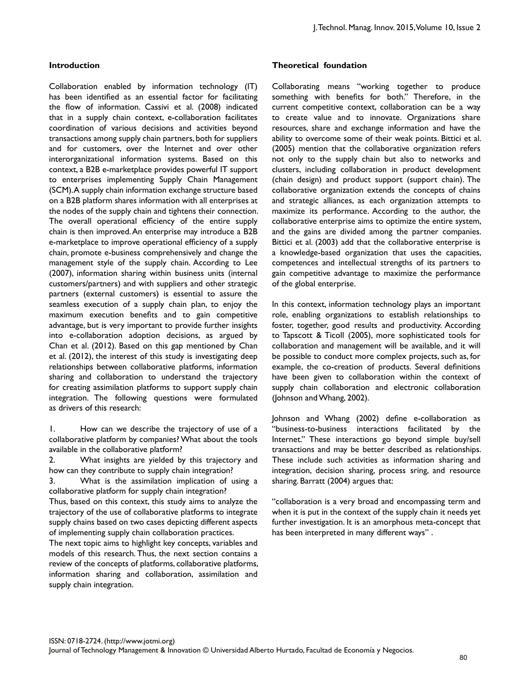#### **Introduction**

Collaboration enabled by information technology (IT) has been identified as an essential factor for facilitating the flow of information. Cassivi et al. (2008) indicated that in a supply chain context, e-collaboration facilitates coordination of various decisions and activities beyond transactions among supply chain partners, both for suppliers and for customers, over the Internet and over other interorganizational information systems. Based on this context, a B2B e-marketplace provides powerful IT support to enterprises implementing Supply Chain Management (SCM). A supply chain information exchange structure based on a B2B platform shares information with all enterprises at the nodes of the supply chain and tightens their connection. The overall operational efficiency of the entire supply chain is then improved. An enterprise may introduce a B2B e-marketplace to improve operational efficiency of a supply chain, promote e-business comprehensively and change the management style of the supply chain. According to Lee (2007), information sharing within business units (internal customers/partners) and with suppliers and other strategic partners (external customers) is essential to assure the seamless execution of a supply chain plan, to enjoy the maximum execution benefits and to gain competitive advantage, but is very important to provide further insights into e-collaboration adoption decisions, as argued by Chan et al. (2012). Based on this gap mentioned by Chan et al. (2012), the interest of this study is investigating deep relationships between collaborative platforms, information sharing and collaboration to understand the trajectory for creating assimilation platforms to support supply chain integration. The following questions were formulated as drivers of this research:

1. How can we describe the trajectory of use of a collaborative platform by companies? What about the tools available in the collaborative platform?

2. What insights are yielded by this trajectory and how can they contribute to supply chain integration?

3. What is the assimilation implication of using a collaborative platform for supply chain integration?

Thus, based on this context, this study aims to analyze the trajectory of the use of collaborative platforms to integrate supply chains based on two cases depicting different aspects of implementing supply chain collaboration practices.

The next topic aims to highlight key concepts, variables and models of this research. Thus, the next section contains a review of the concepts of platforms, collaborative platforms, information sharing and collaboration, assimilation and supply chain integration.

#### **Theoretical foundation**

Collaborating means "working together to produce something with benefits for both." Therefore, in the current competitive context, collaboration can be a way to create value and to innovate. Organizations share resources, share and exchange information and have the ability to overcome some of their weak points. Bittici et al. (2005) mention that the collaborative organization refers not only to the supply chain but also to networks and clusters, including collaboration in product development (chain design) and product support (support chain). The collaborative organization extends the concepts of chains and strategic alliances, as each organization attempts to maximize its performance. According to the author, the collaborative enterprise aims to optimize the entire system, and the gains are divided among the partner companies. Bittici et al. (2003) add that the collaborative enterprise is a knowledge-based organization that uses the capacities, competences and intellectual strengths of its partners to gain competitive advantage to maximize the performance of the global enterprise.

In this context, information technology plays an important role, enabling organizations to establish relationships to foster, together, good results and productivity. According to Tapscott & Ticoll (2005), more sophisticated tools for collaboration and management will be available, and it will be possible to conduct more complex projects, such as, for example, the co-creation of products. Several definitions have been given to collaboration within the context of supply chain collaboration and electronic collaboration (Johnson and Whang, 2002).

Johnson and Whang (2002) define e-collaboration as "business-to-business interactions facilitated by the Internet." These interactions go beyond simple buy/sell transactions and may be better described as relationships. These include such activities as information sharing and integration, decision sharing, process sring, and resource sharing. Barratt (2004) argues that:

"collaboration is a very broad and encompassing term and when it is put in the context of the supply chain it needs yet further investigation. It is an amorphous meta-concept that has been interpreted in many different ways" .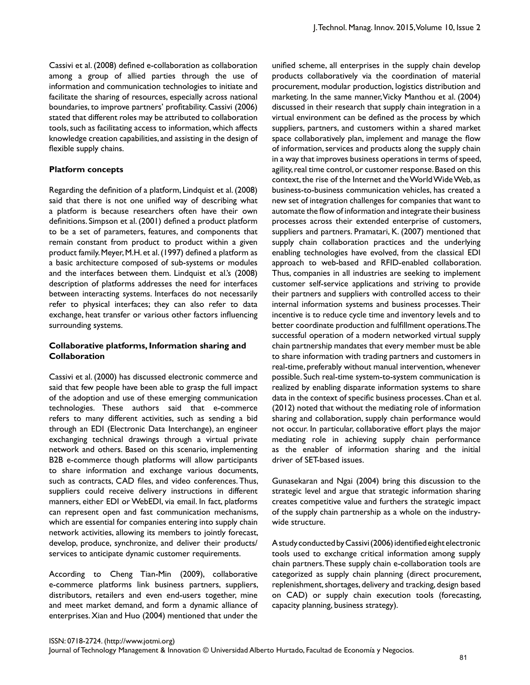Cassivi et al. (2008) defined e-collaboration as collaboration among a group of allied parties through the use of information and communication technologies to initiate and facilitate the sharing of resources, especially across national boundaries, to improve partners' profitability. Cassivi (2006) stated that different roles may be attributed to collaboration tools, such as facilitating access to information, which affects knowledge creation capabilities, and assisting in the design of flexible supply chains.

#### **Platform concepts**

Regarding the definition of a platform, Lindquist et al. (2008) said that there is not one unified way of describing what a platform is because researchers often have their own definitions. Simpson et al. (2001) defined a product platform to be a set of parameters, features, and components that remain constant from product to product within a given product family. Meyer, M.H. et al. (1997) defined a platform as a basic architecture composed of sub-systems or modules and the interfaces between them. Lindquist et al.'s (2008) description of platforms addresses the need for interfaces between interacting systems. Interfaces do not necessarily refer to physical interfaces; they can also refer to data exchange, heat transfer or various other factors influencing surrounding systems.

## **Collaborative platforms, Information sharing and Collaboration**

Cassivi et al. (2000) has discussed electronic commerce and said that few people have been able to grasp the full impact of the adoption and use of these emerging communication technologies. These authors said that e-commerce refers to many different activities, such as sending a bid through an EDI (Electronic Data Interchange), an engineer exchanging technical drawings through a virtual private network and others. Based on this scenario, implementing B2B e-commerce though platforms will allow participants to share information and exchange various documents, such as contracts, CAD files, and video conferences. Thus, suppliers could receive delivery instructions in different manners, either EDI or WebEDI, via email. In fact, platforms can represent open and fast communication mechanisms, which are essential for companies entering into supply chain network activities, allowing its members to jointly forecast, develop, produce, synchronize, and deliver their products/ services to anticipate dynamic customer requirements.

According to Cheng Tian-Min (2009), collaborative e-commerce platforms link business partners, suppliers, distributors, retailers and even end-users together, mine and meet market demand, and form a dynamic alliance of enterprises. Xian and Huo (2004) mentioned that under the

unified scheme, all enterprises in the supply chain develop products collaboratively via the coordination of material procurement, modular production, logistics distribution and marketing. In the same manner, Vicky Manthou et al. (2004) discussed in their research that supply chain integration in a virtual environment can be defined as the process by which suppliers, partners, and customers within a shared market space collaboratively plan, implement and manage the flow of information, services and products along the supply chain in a way that improves business operations in terms of speed, agility, real time control, or customer response. Based on this context, the rise of the Internet and the World Wide Web, as business-to-business communication vehicles, has created a new set of integration challenges for companies that want to automate the flow of information and integrate their business processes across their extended enterprise of customers, suppliers and partners. Pramatari, K. (2007) mentioned that supply chain collaboration practices and the underlying enabling technologies have evolved, from the classical EDI approach to web-based and RFID-enabled collaboration. Thus, companies in all industries are seeking to implement customer self-service applications and striving to provide their partners and suppliers with controlled access to their internal information systems and business processes. Their incentive is to reduce cycle time and inventory levels and to better coordinate production and fulfillment operations. The successful operation of a modern networked virtual supply chain partnership mandates that every member must be able to share information with trading partners and customers in real-time, preferably without manual intervention, whenever possible. Such real-time system-to-system communication is realized by enabling disparate information systems to share data in the context of specific business processes. Chan et al. (2012) noted that without the mediating role of information sharing and collaboration, supply chain performance would not occur. In particular, collaborative effort plays the major mediating role in achieving supply chain performance as the enabler of information sharing and the initial driver of SET-based issues.

Gunasekaran and Ngai (2004) bring this discussion to the strategic level and argue that strategic information sharing creates competitive value and furthers the strategic impact of the supply chain partnership as a whole on the industrywide structure.

A study conducted by Cassivi (2006) identified eight electronic tools used to exchange critical information among supply chain partners. These supply chain e-collaboration tools are categorized as supply chain planning (direct procurement, replenishment, shortages, delivery and tracking, design based on CAD) or supply chain execution tools (forecasting, capacity planning, business strategy).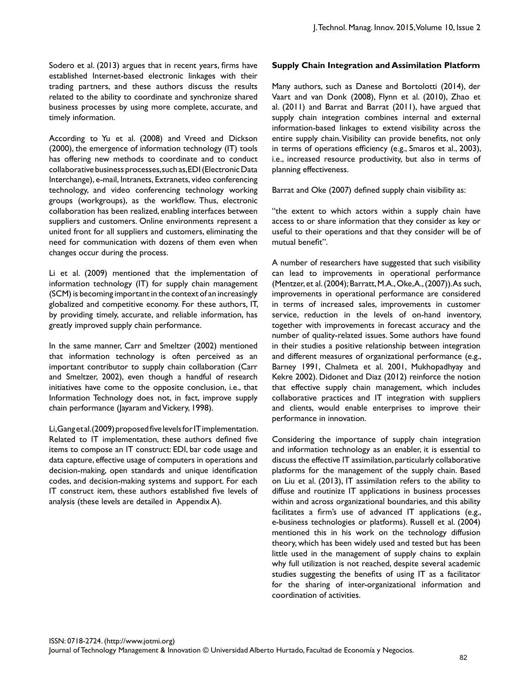Sodero et al. (2013) argues that in recent years, firms have established Internet-based electronic linkages with their trading partners, and these authors discuss the results related to the ability to coordinate and synchronize shared business processes by using more complete, accurate, and timely information.

According to Yu et al. (2008) and Vreed and Dickson (2000), the emergence of information technology (IT) tools has offering new methods to coordinate and to conduct collaborative business processes, such as, EDI (Electronic Data Interchange), e-mail, Intranets, Extranets, video conferencing technology, and video conferencing technology working groups (workgroups), as the workflow. Thus, electronic collaboration has been realized, enabling interfaces between suppliers and customers. Online environments represent a united front for all suppliers and customers, eliminating the need for communication with dozens of them even when changes occur during the process.

Li et al. (2009) mentioned that the implementation of information technology (IT) for supply chain management (SCM) is becoming important in the context of an increasingly globalized and competitive economy. For these authors, IT, by providing timely, accurate, and reliable information, has greatly improved supply chain performance.

In the same manner, Carr and Smeltzer (2002) mentioned that information technology is often perceived as an important contributor to supply chain collaboration (Carr and Smeltzer, 2002), even though a handful of research initiatives have come to the opposite conclusion, i.e., that Information Technology does not, in fact, improve supply chain performance (Jayaram and Vickery, 1998).

Li, Gang et al. (2009) proposed five levels for IT implementation. Related to IT implementation, these authors defined five items to compose an IT construct: EDI, bar code usage and data capture, effective usage of computers in operations and decision-making, open standards and unique identification codes, and decision-making systems and support. For each IT construct item, these authors established five levels of analysis (these levels are detailed in Appendix A).

## **Supply Chain Integration and Assimilation Platform**

Many authors, such as Danese and Bortolotti (2014), der Vaart and van Donk (2008), Flynn et al. (2010), Zhao et al. (2011) and Barrat and Barrat (2011), have argued that supply chain integration combines internal and external information-based linkages to extend visibility across the entire supply chain. Visibility can provide benefits, not only in terms of operations efficiency (e.g., Smaros et al., 2003), i.e., increased resource productivity, but also in terms of planning effectiveness.

Barrat and Oke (2007) defined supply chain visibility as:

"the extent to which actors within a supply chain have access to or share information that they consider as key or useful to their operations and that they consider will be of mutual benefit".

A number of researchers have suggested that such visibility can lead to improvements in operational performance (Mentzer, et al. (2004); Barratt, M.A., Oke,A., (2007)). As such, improvements in operational performance are considered in terms of increased sales, improvements in customer service, reduction in the levels of on-hand inventory, together with improvements in forecast accuracy and the number of quality-related issues. Some authors have found in their studies a positive relationship between integration and different measures of organizational performance (e.g., Barney 1991, Chalmeta et al. 2001, Mukhopadhyay and Kekre 2002). Didonet and Diaz (2012) reinforce the notion that effective supply chain management, which includes collaborative practices and IT integration with suppliers and clients, would enable enterprises to improve their performance in innovation.

Considering the importance of supply chain integration and information technology as an enabler, it is essential to discuss the effective IT assimilation, particularly collaborative platforms for the management of the supply chain. Based on Liu et al. (2013), IT assimilation refers to the ability to diffuse and routinize IT applications in business processes within and across organizational boundaries, and this ability facilitates a firm's use of advanced IT applications (e.g., e-business technologies or platforms). Russell et al. (2004) mentioned this in his work on the technology diffusion theory, which has been widely used and tested but has been little used in the management of supply chains to explain why full utilization is not reached, despite several academic studies suggesting the benefits of using IT as a facilitator for the sharing of inter-organizational information and coordination of activities.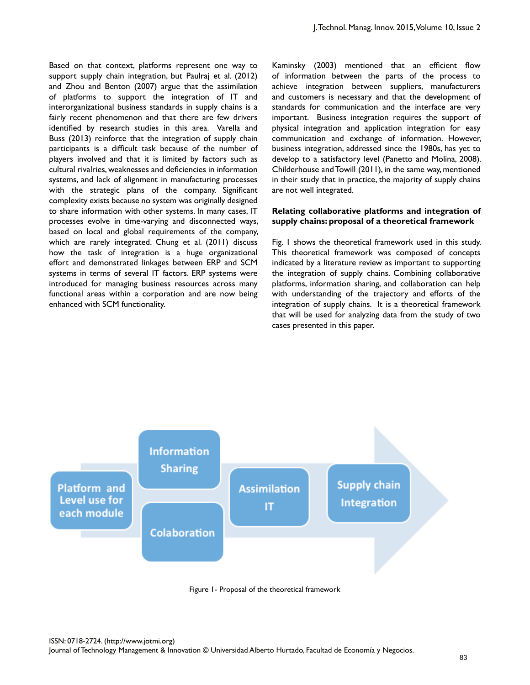Based on that context, platforms represent one way to support supply chain integration, but Paulraj et al. (2012) and Zhou and Benton (2007) argue that the assimilation of platforms to support the integration of IT and interorganizational business standards in supply chains is a fairly recent phenomenon and that there are few drivers identified by research studies in this area. Varella and Buss (2013) reinforce that the integration of supply chain participants is a difficult task because of the number of players involved and that it is limited by factors such as cultural rivalries, weaknesses and deficiencies in information systems, and lack of alignment in manufacturing processes with the strategic plans of the company. Significant complexity exists because no system was originally designed to share information with other systems. In many cases, IT processes evolve in time-varying and disconnected ways, based on local and global requirements of the company, which are rarely integrated. Chung et al. (2011) discuss how the task of integration is a huge organizational effort and demonstrated linkages between ERP and SCM systems in terms of several IT factors. ERP systems were introduced for managing business resources across many functional areas within a corporation and are now being enhanced with SCM functionality.

Kaminsky (2003) mentioned that an efficient flow of information between the parts of the process to achieve integration between suppliers, manufacturers and customers is necessary and that the development of standards for communication and the interface are very important. Business integration requires the support of physical integration and application integration for easy communication and exchange of information. However, business integration, addressed since the 1980s, has yet to develop to a satisfactory level (Panetto and Molina, 2008). Childerhouse and Towill (2011), in the same way, mentioned in their study that in practice, the majority of supply chains are not well integrated.

#### **Relating collaborative platforms and integration of supply chains: proposal of a theoretical framework**

Fig. 1 shows the theoretical framework used in this study. This theoretical framework was composed of concepts indicated by a literature review as important to supporting the integration of supply chains. Combining collaborative platforms, information sharing, and collaboration can help with understanding of the trajectory and efforts of the integration of supply chains. It is a theoretical framework that will be used for analyzing data from the study of two cases presented in this paper.



Figure 1- Proposal of the theoretical framework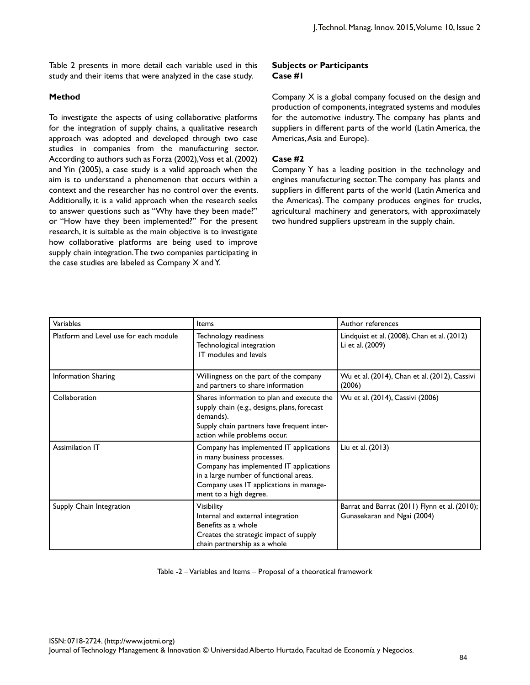Table 2 presents in more detail each variable used in this study and their items that were analyzed in the case study.

## **Method**

To investigate the aspects of using collaborative platforms for the integration of supply chains, a qualitative research approach was adopted and developed through two case studies in companies from the manufacturing sector. According to authors such as Forza (2002), Voss et al. (2002) and Yin (2005), a case study is a valid approach when the aim is to understand a phenomenon that occurs within a context and the researcher has no control over the events. Additionally, it is a valid approach when the research seeks to answer questions such as "Why have they been made?" or "How have they been implemented?" For the present research, it is suitable as the main objective is to investigate how collaborative platforms are being used to improve supply chain integration. The two companies participating in the case studies are labeled as Company X and Y.

## **Subjects or Participants Case #1**

Company X is a global company focused on the design and production of components, integrated systems and modules for the automotive industry. The company has plants and suppliers in different parts of the world (Latin America, the Americas, Asia and Europe).

## **Case #2**

Company Y has a leading position in the technology and engines manufacturing sector. The company has plants and suppliers in different parts of the world (Latin America and the Americas). The company produces engines for trucks, agricultural machinery and generators, with approximately two hundred suppliers upstream in the supply chain.

| Variables                              | Items                                                                                                                                                                                                                            | Author references                                                            |
|----------------------------------------|----------------------------------------------------------------------------------------------------------------------------------------------------------------------------------------------------------------------------------|------------------------------------------------------------------------------|
| Platform and Level use for each module | Technology readiness<br>Technological integration<br>IT modules and levels                                                                                                                                                       | Lindquist et al. (2008), Chan et al. (2012)<br>Li et al. (2009)              |
| <b>Information Sharing</b>             | Willingness on the part of the company<br>and partners to share information                                                                                                                                                      | Wu et al. (2014), Chan et al. (2012), Cassivi<br>(2006)                      |
| Collaboration                          | Shares information to plan and execute the<br>supply chain (e.g., designs, plans, forecast<br>demands).<br>Supply chain partners have frequent inter-<br>action while problems occur.                                            | Wu et al. (2014), Cassivi (2006)                                             |
| <b>Assimilation IT</b>                 | Company has implemented IT applications<br>in many business processes.<br>Company has implemented IT applications<br>in a large number of functional areas.<br>Company uses IT applications in manage-<br>ment to a high degree. | Liu et al. (2013)                                                            |
| Supply Chain Integration               | <b>Visibility</b><br>Internal and external integration<br>Benefits as a whole<br>Creates the strategic impact of supply<br>chain partnership as a whole                                                                          | Barrat and Barrat (2011) Flynn et al. (2010);<br>Gunasekaran and Ngai (2004) |

Table -2 – Variables and Items – Proposal of a theoretical framework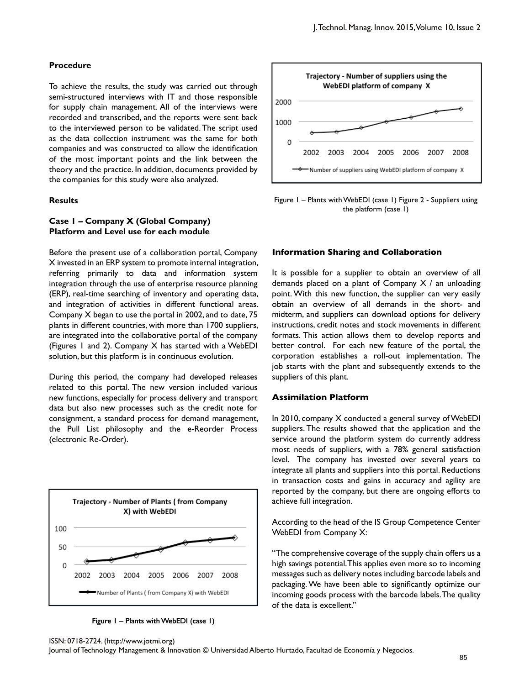#### **Procedure**

To achieve the results, the study was carried out through semi-structured interviews with IT and those responsible for supply chain management. All of the interviews were recorded and transcribed, and the reports were sent back to the interviewed person to be validated. The script used as the data collection instrument was the same for both companies and was constructed to allow the identification of the most important points and the link between the theory and the practice. In addition, documents provided by the companies for this study were also analyzed.

#### **Results**

### **Case 1 – Company X (Global Company) Platform and Level use for each module**

Before the present use of a collaboration portal, Company X invested in an ERP system to promote internal integration, referring primarily to data and information system integration through the use of enterprise resource planning (ERP), real-time searching of inventory and operating data, and integration of activities in different functional areas. Company X began to use the portal in 2002, and to date, 75 plants in different countries, with more than 1700 suppliers, are integrated into the collaborative portal of the company (Figures 1 and 2). Company X has started with a WebEDI solution, but this platform is in continuous evolution.

During this period, the company had developed releases related to this portal. The new version included various new functions, especially for process delivery and transport data but also new processes such as the credit note for consignment, a standard process for demand management, the Pull List philosophy and the e-Reorder Process (electronic Re-Order).



Figure 1 – Plants with WebEDI (case 1)



Figure 1 – Plants with WebEDI (case 1) Figure 2 - Suppliers using the platform (case 1)

#### **Information Sharing and Collaboration**

It is possible for a supplier to obtain an overview of all demands placed on a plant of Company X / an unloading point. With this new function, the supplier can very easily obtain an overview of all demands in the short- and midterm, and suppliers can download options for delivery instructions, credit notes and stock movements in different formats. This action allows them to develop reports and better control. For each new feature of the portal, the corporation establishes a roll-out implementation. The job starts with the plant and subsequently extends to the suppliers of this plant.

#### **Assimilation Platform**

In 2010, company X conducted a general survey of WebEDI suppliers. The results showed that the application and the service around the platform system do currently address most needs of suppliers, with a 78% general satisfaction level. The company has invested over several years to integrate all plants and suppliers into this portal. Reductions in transaction costs and gains in accuracy and agility are reported by the company, but there are ongoing efforts to achieve full integration.

According to the head of the IS Group Competence Center WebEDI from Company X:

"The comprehensive coverage of the supply chain offers us a high savings potential. This applies even more so to incoming messages such as delivery notes including barcode labels and packaging. We have been able to significantly optimize our incoming goods process with the barcode labels. The quality of the data is excellent."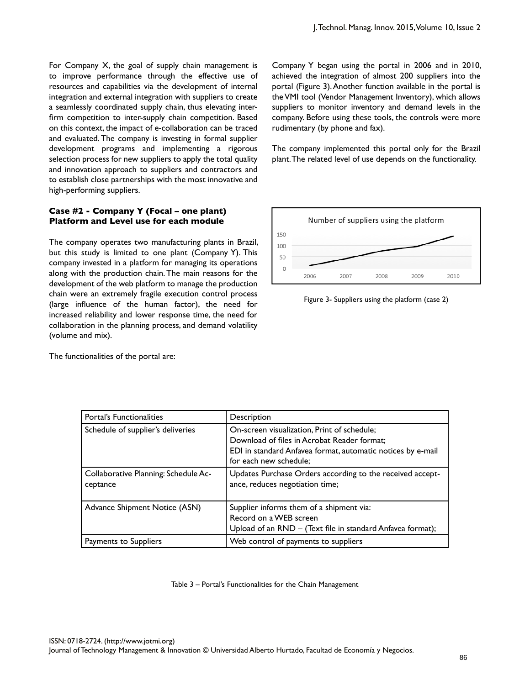For Company X, the goal of supply chain management is to improve performance through the effective use of resources and capabilities via the development of internal integration and external integration with suppliers to create a seamlessly coordinated supply chain, thus elevating interfirm competition to inter-supply chain competition. Based on this context, the impact of e-collaboration can be traced and evaluated. The company is investing in formal supplier development programs and implementing a rigorous selection process for new suppliers to apply the total quality and innovation approach to suppliers and contractors and to establish close partnerships with the most innovative and high-performing suppliers.

### **Case #2 - Company Y (Focal – one plant) Platform and Level use for each module**

The company operates two manufacturing plants in Brazil, but this study is limited to one plant (Company Y). This company invested in a platform for managing its operations along with the production chain. The main reasons for the development of the web platform to manage the production chain were an extremely fragile execution control process (large influence of the human factor), the need for increased reliability and lower response time, the need for collaboration in the planning process, and demand volatility (volume and mix).

The functionalities of the portal are:

Company Y began using the portal in 2006 and in 2010, achieved the integration of almost 200 suppliers into the portal (Figure 3). Another function available in the portal is the VMI tool (Vendor Management Inventory), which allows suppliers to monitor inventory and demand levels in the company. Before using these tools, the controls were more rudimentary (by phone and fax).

The company implemented this portal only for the Brazil plant. The related level of use depends on the functionality.



Figure 3- Suppliers using the platform (case 2)

| Portal's Functionalities                         | Description                                                                                                                                                                         |
|--------------------------------------------------|-------------------------------------------------------------------------------------------------------------------------------------------------------------------------------------|
| Schedule of supplier's deliveries                | On-screen visualization, Print of schedule;<br>Download of files in Acrobat Reader format:<br>EDI in standard Anfavea format, automatic notices by e-mail<br>for each new schedule; |
| Collaborative Planning: Schedule Ac-<br>ceptance | Updates Purchase Orders according to the received accept-<br>ance, reduces negotiation time;                                                                                        |
| Advance Shipment Notice (ASN)                    | Supplier informs them of a shipment via:<br>Record on a WEB screen<br>Upload of an RND - (Text file in standard Anfavea format);                                                    |
| Payments to Suppliers                            | Web control of payments to suppliers                                                                                                                                                |

Table 3 – Portal's Functionalities for the Chain Management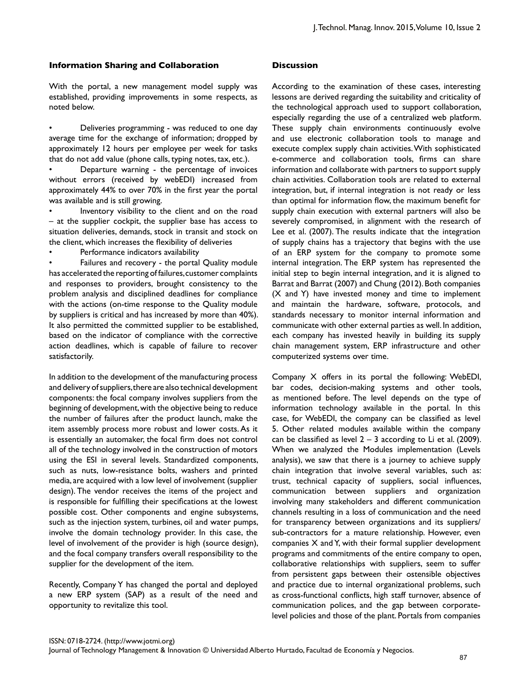### **Information Sharing and Collaboration**

With the portal, a new management model supply was established, providing improvements in some respects, as noted below.

• Deliveries programming - was reduced to one day average time for the exchange of information; dropped by approximately 12 hours per employee per week for tasks that do not add value (phone calls, typing notes, tax, etc.).

• Departure warning - the percentage of invoices without errors (received by webEDI) increased from approximately 44% to over 70% in the first year the portal was available and is still growing.

Inventory visibility to the client and on the road – at the supplier cockpit, the supplier base has access to situation deliveries, demands, stock in transit and stock on the client, which increases the flexibility of deliveries

• Performance indicators availability

Failures and recovery - the portal Quality module has accelerated the reporting of failures, customer complaints and responses to providers, brought consistency to the problem analysis and disciplined deadlines for compliance with the actions (on-time response to the Quality module by suppliers is critical and has increased by more than 40%). It also permitted the committed supplier to be established, based on the indicator of compliance with the corrective action deadlines, which is capable of failure to recover satisfactorily.

In addition to the development of the manufacturing process and delivery of suppliers, there are also technical development components: the focal company involves suppliers from the beginning of development, with the objective being to reduce the number of failures after the product launch, make the item assembly process more robust and lower costs. As it is essentially an automaker, the focal firm does not control all of the technology involved in the construction of motors using the ESI in several levels. Standardized components, such as nuts, low-resistance bolts, washers and printed media, are acquired with a low level of involvement (supplier design). The vendor receives the items of the project and is responsible for fulfilling their specifications at the lowest possible cost. Other components and engine subsystems, such as the injection system, turbines, oil and water pumps, involve the domain technology provider. In this case, the level of involvement of the provider is high (source design), and the focal company transfers overall responsibility to the supplier for the development of the item.

Recently, Company Y has changed the portal and deployed a new ERP system (SAP) as a result of the need and opportunity to revitalize this tool.

#### **Discussion**

According to the examination of these cases, interesting lessons are derived regarding the suitability and criticality of the technological approach used to support collaboration, especially regarding the use of a centralized web platform. These supply chain environments continuously evolve and use electronic collaboration tools to manage and execute complex supply chain activities. With sophisticated e-commerce and collaboration tools, firms can share information and collaborate with partners to support supply chain activities. Collaboration tools are related to external integration, but, if internal integration is not ready or less than optimal for information flow, the maximum benefit for supply chain execution with external partners will also be severely compromised, in alignment with the research of Lee et al. (2007). The results indicate that the integration of supply chains has a trajectory that begins with the use of an ERP system for the company to promote some internal integration. The ERP system has represented the initial step to begin internal integration, and it is aligned to Barrat and Barrat (2007) and Chung (2012). Both companies (X and Y) have invested money and time to implement and maintain the hardware, software, protocols, and standards necessary to monitor internal information and communicate with other external parties as well. In addition, each company has invested heavily in building its supply chain management system, ERP infrastructure and other computerized systems over time.

Company X offers in its portal the following: WebEDI, bar codes, decision-making systems and other tools, as mentioned before. The level depends on the type of information technology available in the portal. In this case, for WebEDI, the company can be classified as level 5. Other related modules available within the company can be classified as level  $2 - 3$  according to Li et al. (2009). When we analyzed the Modules implementation (Levels analysis), we saw that there is a journey to achieve supply chain integration that involve several variables, such as: trust, technical capacity of suppliers, social influences, communication between suppliers and organization involving many stakeholders and different communication channels resulting in a loss of communication and the need for transparency between organizations and its suppliers/ sub-contractors for a mature relationship. However, even companies X and Y, with their formal supplier development programs and commitments of the entire company to open, collaborative relationships with suppliers, seem to suffer from persistent gaps between their ostensible objectives and practice due to internal organizational problems, such as cross-functional conflicts, high staff turnover, absence of communication polices, and the gap between corporatelevel policies and those of the plant. Portals from companies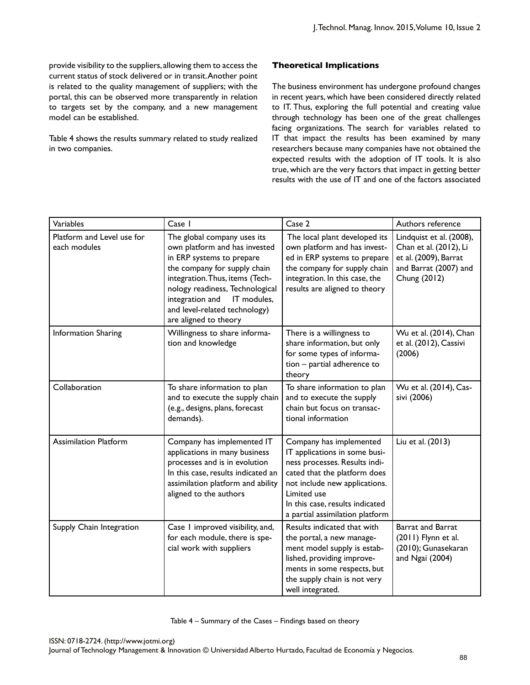provide visibility to the suppliers, allowing them to access the current status of stock delivered or in transit. Another point is related to the quality management of suppliers; with the portal, this can be observed more transparently in relation to targets set by the company, and a new management model can be established.

Table 4 shows the results summary related to study realized in two companies.

## **Theoretical Implications**

The business environment has undergone profound changes in recent years, which have been considered directly related to IT. Thus, exploring the full potential and creating value through technology has been one of the great challenges facing organizations. The search for variables related to IT that impact the results has been examined by many researchers because many companies have not obtained the expected results with the adoption of IT tools. It is also true, which are the very factors that impact in getting better results with the use of IT and one of the factors associated

| Variables                                  | Case I                                                                                                                                                                                                                                                                                      | Case 2                                                                                                                                                                                                                                          | Authors reference                                                                                                    |
|--------------------------------------------|---------------------------------------------------------------------------------------------------------------------------------------------------------------------------------------------------------------------------------------------------------------------------------------------|-------------------------------------------------------------------------------------------------------------------------------------------------------------------------------------------------------------------------------------------------|----------------------------------------------------------------------------------------------------------------------|
| Platform and Level use for<br>each modules | The global company uses its<br>own platform and has invested<br>in ERP systems to prepare<br>the company for supply chain<br>integration. Thus, items (Tech-<br>nology readiness, Technological<br>integration and<br>IT modules,<br>and level-related technology)<br>are aligned to theory | The local plant developed its<br>own platform and has invest-<br>ed in ERP systems to prepare<br>the company for supply chain<br>integration. In this case, the<br>results are aligned to theory                                                | Lindquist et al. (2008),<br>Chan et al. (2012), Li<br>et al. (2009), Barrat<br>and Barrat (2007) and<br>Chung (2012) |
| Information Sharing                        | Willingness to share informa-<br>tion and knowledge                                                                                                                                                                                                                                         | There is a willingness to<br>share information, but only<br>for some types of informa-<br>tion - partial adherence to<br>theory                                                                                                                 | Wu et al. (2014), Chan<br>et al. (2012), Cassivi<br>(2006)                                                           |
| Collaboration                              | To share information to plan<br>and to execute the supply chain<br>(e.g., designs, plans, forecast<br>demands).                                                                                                                                                                             | To share information to plan<br>and to execute the supply<br>chain but focus on transac-<br>tional information                                                                                                                                  | Wu et al. (2014), Cas-<br>sivi (2006)                                                                                |
| <b>Assimilation Platform</b>               | Company has implemented IT<br>applications in many business<br>processes and is in evolution<br>In this case, results indicated an<br>assimilation platform and ability<br>aligned to the authors                                                                                           | Company has implemented<br>IT applications in some busi-<br>ness processes. Results indi-<br>cated that the platform does<br>not include new applications.<br>Limited use<br>In this case, results indicated<br>a partial assimilation platform | Liu et al. (2013)                                                                                                    |
| Supply Chain Integration                   | Case I improved visibility, and,<br>for each module, there is spe-<br>cial work with suppliers                                                                                                                                                                                              | Results indicated that with<br>the portal, a new manage-<br>ment model supply is estab-<br>lished, providing improve-<br>ments in some respects, but<br>the supply chain is not very<br>well integrated.                                        | Barrat and Barrat<br>(2011) Flynn et al.<br>(2010); Gunasekaran<br>and Ngai (2004)                                   |

Table 4 – Summary of the Cases – Findings based on theory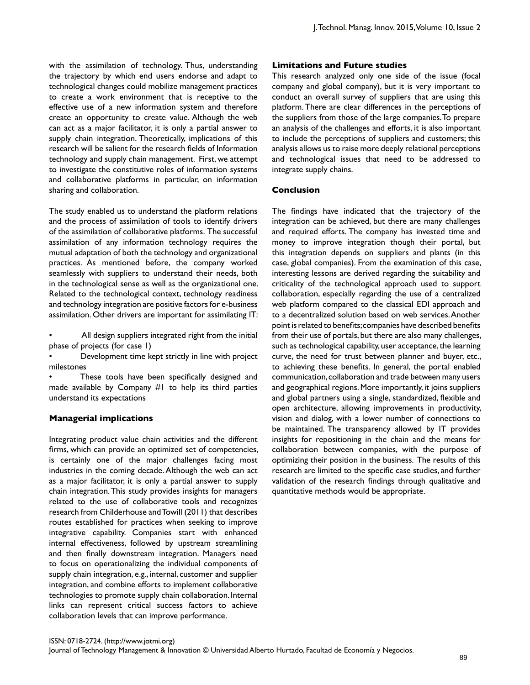with the assimilation of technology. Thus, understanding the trajectory by which end users endorse and adapt to technological changes could mobilize management practices to create a work environment that is receptive to the effective use of a new information system and therefore create an opportunity to create value. Although the web can act as a major facilitator, it is only a partial answer to supply chain integration. Theoretically, implications of this research will be salient for the research fields of Information technology and supply chain management. First, we attempt to investigate the constitutive roles of information systems and collaborative platforms in particular, on information sharing and collaboration.

The study enabled us to understand the platform relations and the process of assimilation of tools to identify drivers of the assimilation of collaborative platforms. The successful assimilation of any information technology requires the mutual adaptation of both the technology and organizational practices. As mentioned before, the company worked seamlessly with suppliers to understand their needs, both in the technological sense as well as the organizational one. Related to the technological context, technology readiness and technology integration are positive factors for e-business assimilation. Other drivers are important for assimilating IT:

All design suppliers integrated right from the initial phase of projects (for case 1)

• Development time kept strictly in line with project milestones

These tools have been specifically designed and made available by Company #1 to help its third parties understand its expectations

## **Managerial implications**

Integrating product value chain activities and the different firms, which can provide an optimized set of competencies, is certainly one of the major challenges facing most industries in the coming decade. Although the web can act as a major facilitator, it is only a partial answer to supply chain integration. This study provides insights for managers related to the use of collaborative tools and recognizes research from Childerhouse and Towill (2011) that describes routes established for practices when seeking to improve integrative capability. Companies start with enhanced internal effectiveness, followed by upstream streamlining and then finally downstream integration. Managers need to focus on operationalizing the individual components of supply chain integration, e.g., internal, customer and supplier integration, and combine efforts to implement collaborative technologies to promote supply chain collaboration. Internal links can represent critical success factors to achieve collaboration levels that can improve performance.

## **Limitations and Future studies**

This research analyzed only one side of the issue (focal company and global company), but it is very important to conduct an overall survey of suppliers that are using this platform. There are clear differences in the perceptions of the suppliers from those of the large companies. To prepare an analysis of the challenges and efforts, it is also important to include the perceptions of suppliers and customers; this analysis allows us to raise more deeply relational perceptions and technological issues that need to be addressed to integrate supply chains.

#### **Conclusion**

The findings have indicated that the trajectory of the integration can be achieved, but there are many challenges and required efforts. The company has invested time and money to improve integration though their portal, but this integration depends on suppliers and plants (in this case, global companies). From the examination of this case, interesting lessons are derived regarding the suitability and criticality of the technological approach used to support collaboration, especially regarding the use of a centralized web platform compared to the classical EDI approach and to a decentralized solution based on web services. Another point is related to benefits; companies have described benefits from their use of portals, but there are also many challenges, such as technological capability, user acceptance, the learning curve, the need for trust between planner and buyer, etc., to achieving these benefits. In general, the portal enabled communication, collaboration and trade between many users and geographical regions. More importantly, it joins suppliers and global partners using a single, standardized, flexible and open architecture, allowing improvements in productivity, vision and dialog, with a lower number of connections to be maintained. The transparency allowed by IT provides insights for repositioning in the chain and the means for collaboration between companies, with the purpose of optimizing their position in the business. The results of this research are limited to the specific case studies, and further validation of the research findings through qualitative and quantitative methods would be appropriate.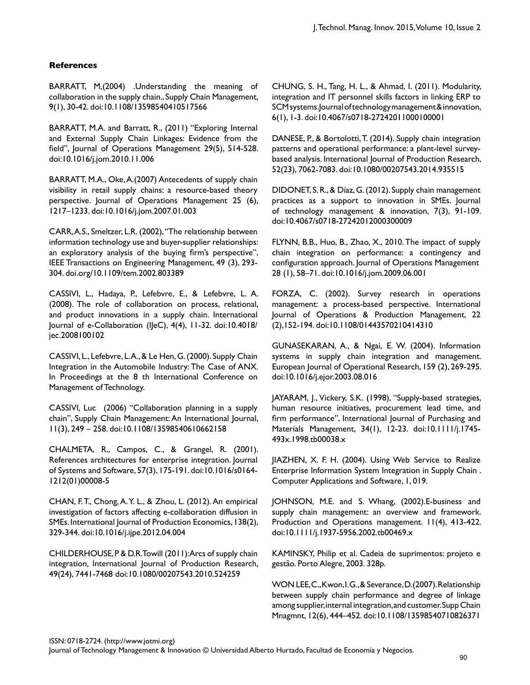# **References**

BARRATT, M,(2004) .Understanding the meaning of collaboration in the supply chain., Supply Chain Management, 9(1), 30-42. doi:10.1108/13598540410517566

BARRATT, M.A. and Barratt, R., (2011) "Exploring Internal and External Supply Chain Linkages: Evidence from the field", Journal of Operations Management 29(5), 514-528. doi:10.1016/j.jom.2010.11.006

BARRATT, M.A., Oke, A.(2007) Antecedents of supply chain visibility in retail supply chains: a resource-based theory perspective. Journal of Operations Management 25 (6), 1217–1233. doi:10.1016/j.jom.2007.01.003

CARR, A.S., Smeltzer, L.R. (2002), "The relationship between information technology use and buyer-supplier relationships: an exploratory analysis of the buying firm's perspective", IEEE Transactions on Engineering Management, 49 (3), 293- 304. doi.org/10.1109/tem.2002.803389

CASSIVI, L., Hadaya, P., Lefebvre, E., & Lefebvre, L. A. (2008). The role of collaboration on process, relational, and product innovations in a supply chain. International Journal of e-Collaboration (IJeC), 4(4), 11-32. doi:10.4018/ jec.2008100102

CASSIVI, L., Lefebvre, L. A., & Le Hen, G. (2000). Supply Chain Integration in the Automobile Industry: The Case of ANX. In Proceedings at the 8 th International Conference on Management of Technology.

CASSIVI, Luc (2006) "Collaboration planning in a supply chain", Supply Chain Management: An International Journal, 11(3), 249 – 258. doi:10.1108/13598540610662158

CHALMETA, R., Campos, C., & Grangel, R. (2001). References architectures for enterprise integration. Journal of Systems and Software, 57(3), 175-191. doi:10.1016/s0164- 1212(01)00008-5

CHAN, F.T., Chong, A.Y. L., & Zhou, L. (2012). An empirical investigation of factors affecting e-collaboration diffusion in SMEs. International Journal of Production Economics, 138(2), 329-344. doi:10.1016/j.ijpe.2012.04.004

CHILDERHOUSE, P & D.R. Towill (2011): Arcs of supply chain integration, International Journal of Production Research, 49(24), 7441-7468 doi:10.1080/00207543.2010.524259

CHUNG, S. H., Tang, H. L., & Ahmad, I. (2011). Modularity, integration and IT personnel skills factors in linking ERP to SCM systems. Journal of technology management & innovation, 6(1), 1-3. doi:10.4067/s0718-27242011000100001

DANESE, P., & Bortolotti, T. (2014). Supply chain integration patterns and operational performance: a plant-level surveybased analysis. International Journal of Production Research, 52(23), 7062-7083. doi:10.1080/00207543.2014.935515

DIDONET, S. R., & Díaz, G. (2012). Supply chain management practices as a support to innovation in SMEs. Journal of technology management & innovation, 7(3), 91-109. doi:10.4067/s0718-27242012000300009

FLYNN, B.B., Huo, B., Zhao, X., 2010. The impact of supply chain integration on performance: a contingency and configuration approach. Journal of Operations Management 28 (1), 58–71. doi:10.1016/j.jom.2009.06.001

FORZA, C. (2002). Survey research in operations management: a process-based perspective. International Journal of Operations & Production Management, 22 (2),152-194. doi:10.1108/01443570210414310

GUNASEKARAN, A., & Ngai, E. W. (2004). Information systems in supply chain integration and management. European Journal of Operational Research, 159 (2), 269-295. doi:10.1016/j.ejor.2003.08.016

JAYARAM, J., Vickery, S.K. (1998), "Supply-based strategies, human resource initiatives, procurement lead time, and firm performance", International Journal of Purchasing and Materials Management, 34(1), 12-23. doi:10.1111/j.1745- 493x.1998.tb00038.x

JIAZHEN, X. F. H. (2004). Using Web Service to Realize Enterprise Information System Integration in Supply Chain . Computer Applications and Software, 1, 019.

JOHNSON, M.E. and S. Whang, (2002).E-business and supply chain management: an overview and framework. Production and Operations management. 11(4), 413-422. doi:10.1111/j.1937-5956.2002.tb00469.x

KAMINSKY, Philip et al. Cadeia de suprimentos: projeto e gestão. Porto Alegre, 2003. 328p.

WON LEE, C., Kwon, I. G., & Severance, D. (2007). Relationship between supply chain performance and degree of linkage among supplier, internal integration, and customer. Supp Chain Mnagmnt, 12(6), 444–452. doi:10.1108/13598540710826371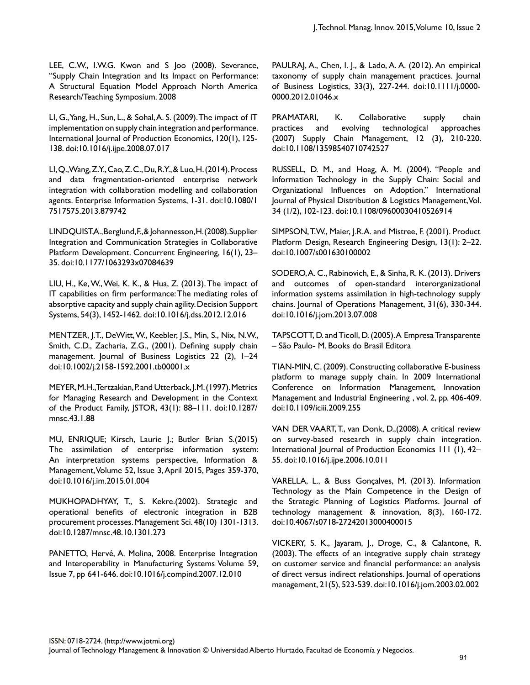LEE, C.W., I.W.G. Kwon and S Joo (2008). Severance, "Supply Chain Integration and Its Impact on Performance: A Structural Equation Model Approach North America Research/Teaching Symposium. 2008

LI, G., Yang, H., Sun, L., & Sohal, A. S. (2009). The impact of IT implementation on supply chain integration and performance. International Journal of Production Economics, 120(1), 125- 138. doi:10.1016/j.ijpe.2008.07.017

LI, Q., Wang, Z.Y., Cao, Z.C., Du, R.Y., & Luo, H. (2014). Process and data fragmentation-oriented enterprise network integration with collaboration modelling and collaboration agents. Enterprise Information Systems, 1-31. doi:10.1080/1 7517575.2013.879742

LINDQUIST, A., Berglund, F., & Johannesson, H. (2008). Supplier Integration and Communication Strategies in Collaborative Platform Development. Concurrent Engineering, 16(1), 23– 35. doi:10.1177/1063293x07084639

LIU, H., Ke, W., Wei, K. K., & Hua, Z. (2013). The impact of IT capabilities on firm performance: The mediating roles of absorptive capacity and supply chain agility. Decision Support Systems, 54(3), 1452-1462. doi:10.1016/j.dss.2012.12.016

MENTZER, J.T., DeWitt, W., Keebler, J.S., Min, S., Nix, N.W., Smith, C.D., Zacharia, Z.G., (2001). Defining supply chain management. Journal of Business Logistics 22 (2), 1–24 doi:10.1002/j.2158-1592.2001.tb00001.x

MEYER, M.H., Tertzakian, P. and Utterback, J.M. (1997). Metrics for Managing Research and Development in the Context of the Product Family, JSTOR, 43(1): 88–111. doi:10.1287/ mnsc.43.1.88

MU, ENRIQUE; Kirsch, Laurie J.; Butler Brian S.(2015) The assimilation of enterprise information system: An interpretation systems perspective, Information & Management, Volume 52, Issue 3, April 2015, Pages 359-370, doi:10.1016/j.im.2015.01.004

MUKHOPADHYAY, T., S. Kekre.(2002). Strategic and operational benefits of electronic integration in B2B procurement processes. Management Sci. 48(10) 1301-1313. doi:10.1287/mnsc.48.10.1301.273

PANETTO, Hervé, A. Molina, 2008. Enterprise Integration and Interoperability in Manufacturing Systems Volume 59, Issue 7, pp 641-646. doi:10.1016/j.compind.2007.12.010

PAULRAJ, A., Chen, I. J., & Lado, A. A. (2012). An empirical taxonomy of supply chain management practices. Journal of Business Logistics, 33(3), 227-244. doi:10.1111/j.0000- 0000.2012.01046.x

PRAMATARI, K. Collaborative supply chain practices and evolving technological approaches (2007) Supply Chain Management, 12 (3), 210-220. doi:10.1108/13598540710742527

RUSSELL, D. M., and Hoag, A. M. (2004). "People and Information Technology in the Supply Chain: Social and Organizational Influences on Adoption." International Journal of Physical Distribution & Logistics Management, Vol. 34 (1/2), 102-123. doi:10.1108/09600030410526914

SIMPSON, T.W., Maier, J.R.A. and Mistree, F. (2001). Product Platform Design, Research Engineering Design, 13(1): 2–22. doi:10.1007/s001630100002

SODERO, A. C., Rabinovich, E., & Sinha, R. K. (2013). Drivers and outcomes of open-standard interorganizational information systems assimilation in high-technology supply chains. Journal of Operations Management, 31(6), 330-344. doi:10.1016/j.jom.2013.07.008

TAPSCOTT, D. and Ticoll, D. (2005). A Empresa Transparente – São Paulo- M. Books do Brasil Editora

TIAN-MIN, C. (2009). Constructing collaborative E-business platform to manage supply chain. In 2009 International Conference on Information Management, Innovation Management and Industrial Engineering , vol. 2, pp. 406-409. doi:10.1109/iciii.2009.255

VAN DER VAART, T., van Donk, D.,(2008). A critical review on survey-based research in supply chain integration. International Journal of Production Economics 111 (1), 42– 55. doi:10.1016/j.ijpe.2006.10.011

VARELLA, L., & Buss Gonçalves, M. (2013). Information Technology as the Main Competence in the Design of the Strategic Planning of Logistics Platforms. Journal of technology management & innovation, 8(3), 160-172. doi:10.4067/s0718-27242013000400015

VICKERY, S. K., Jayaram, J., Droge, C., & Calantone, R. (2003). The effects of an integrative supply chain strategy on customer service and financial performance: an analysis of direct versus indirect relationships. Journal of operations management, 21(5), 523-539. doi:10.1016/j.jom.2003.02.002